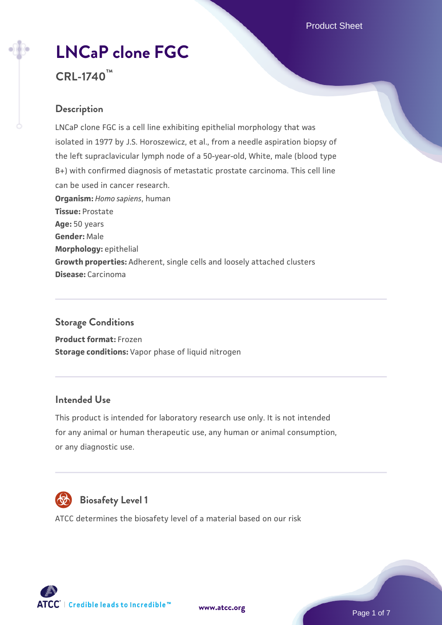# **[LNCaP clone FGC](https://www.atcc.org/products/crl-1740)**

# **CRL-1740™**

# **Description**

LNCaP clone FGC is a cell line exhibiting epithelial morphology that was isolated in 1977 by J.S. Horoszewicz, et al., from a needle aspiration biopsy of the left supraclavicular lymph node of a 50-year-old, White, male (blood type B+) with confirmed diagnosis of metastatic prostate carcinoma. This cell line can be used in cancer research. **Organism:** *Homo sapiens*, human **Tissue:** Prostate **Age:** 50 years **Gender:** Male **Morphology:** epithelial **Growth properties:** Adherent, single cells and loosely attached clusters **Disease:** Carcinoma

## **Storage Conditions**

**Product format:** Frozen **Storage conditions:** Vapor phase of liquid nitrogen

## **Intended Use**

This product is intended for laboratory research use only. It is not intended for any animal or human therapeutic use, any human or animal consumption, or any diagnostic use.



# **Biosafety Level 1**

ATCC determines the biosafety level of a material based on our risk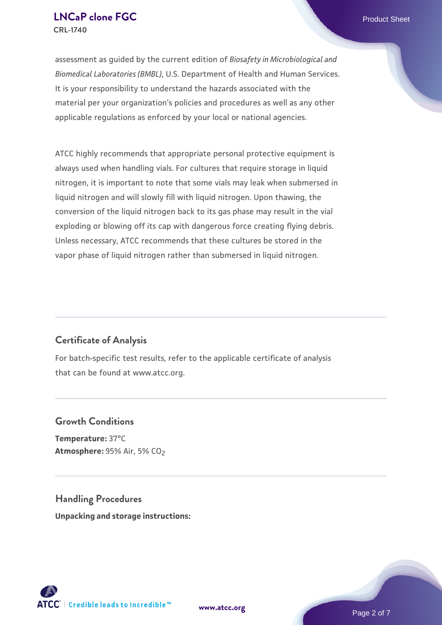assessment as guided by the current edition of *Biosafety in Microbiological and Biomedical Laboratories (BMBL)*, U.S. Department of Health and Human Services. It is your responsibility to understand the hazards associated with the material per your organization's policies and procedures as well as any other applicable regulations as enforced by your local or national agencies.

ATCC highly recommends that appropriate personal protective equipment is always used when handling vials. For cultures that require storage in liquid nitrogen, it is important to note that some vials may leak when submersed in liquid nitrogen and will slowly fill with liquid nitrogen. Upon thawing, the conversion of the liquid nitrogen back to its gas phase may result in the vial exploding or blowing off its cap with dangerous force creating flying debris. Unless necessary, ATCC recommends that these cultures be stored in the vapor phase of liquid nitrogen rather than submersed in liquid nitrogen.

# **Certificate of Analysis**

For batch-specific test results, refer to the applicable certificate of analysis that can be found at www.atcc.org.

## **Growth Conditions**

**Temperature:** 37°C **Atmosphere: 95% Air, 5% CO<sub>2</sub>** 

**Handling Procedures Unpacking and storage instructions:**



**[www.atcc.org](http://www.atcc.org)**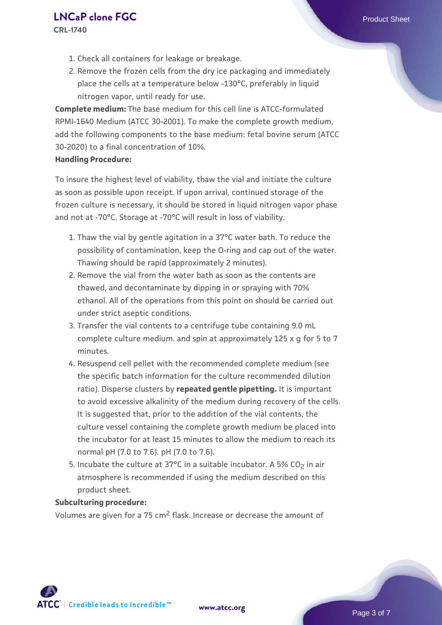**CRL-1740**

- 1. Check all containers for leakage or breakage.
- 2. Remove the frozen cells from the dry ice packaging and immediately place the cells at a temperature below -130°C, preferably in liquid nitrogen vapor, until ready for use.

**Complete medium:** The base medium for this cell line is ATCC-formulated RPMI-1640 Medium (ATCC 30-2001). To make the complete growth medium, add the following components to the base medium: fetal bovine serum (ATCC 30-2020) to a final concentration of 10%.

#### **Handling Procedure:**

To insure the highest level of viability, thaw the vial and initiate the culture as soon as possible upon receipt. If upon arrival, continued storage of the frozen culture is necessary, it should be stored in liquid nitrogen vapor phase and not at -70°C. Storage at -70°C will result in loss of viability.

- 1. Thaw the vial by gentle agitation in a 37°C water bath. To reduce the possibility of contamination, keep the O-ring and cap out of the water. Thawing should be rapid (approximately 2 minutes).
- 2. Remove the vial from the water bath as soon as the contents are thawed, and decontaminate by dipping in or spraying with 70% ethanol. All of the operations from this point on should be carried out under strict aseptic conditions.
- 3. Transfer the vial contents to a centrifuge tube containing 9.0 mL complete culture medium. and spin at approximately 125 x g for 5 to 7 minutes.
- 4. Resuspend cell pellet with the recommended complete medium (see the specific batch information for the culture recommended dilution ratio). Disperse clusters by **repeated gentle pipetting.** It is important to avoid excessive alkalinity of the medium during recovery of the cells. It is suggested that, prior to the addition of the vial contents, the culture vessel containing the complete growth medium be placed into the incubator for at least 15 minutes to allow the medium to reach its normal pH (7.0 to 7.6). pH (7.0 to 7.6).
- 5. Incubate the culture at 37°C in a suitable incubator. A 5% CO<sub>2</sub> in air atmosphere is recommended if using the medium described on this product sheet.

#### **Subculturing procedure:**

Volumes are given for a 75 cm2 flask. Increase or decrease the amount of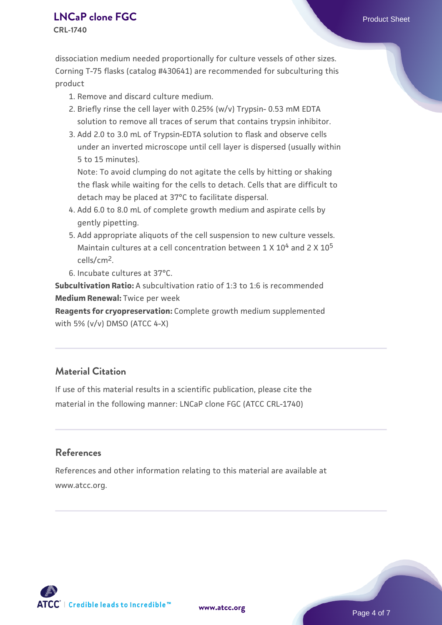**CRL-1740**

dissociation medium needed proportionally for culture vessels of other sizes. Corning T-75 flasks (catalog #430641) are recommended for subculturing this product

- 1. Remove and discard culture medium.
- 2. Briefly rinse the cell layer with 0.25% (w/v) Trypsin- 0.53 mM EDTA solution to remove all traces of serum that contains trypsin inhibitor.
- 3. Add 2.0 to 3.0 mL of Trypsin-EDTA solution to flask and observe cells under an inverted microscope until cell layer is dispersed (usually within 5 to 15 minutes).

Note: To avoid clumping do not agitate the cells by hitting or shaking the flask while waiting for the cells to detach. Cells that are difficult to detach may be placed at 37°C to facilitate dispersal.

- Add 6.0 to 8.0 mL of complete growth medium and aspirate cells by 4. gently pipetting.
- 5. Add appropriate aliquots of the cell suspension to new culture vessels. Maintain cultures at a cell concentration between  $1 \times 10^4$  and  $2 \times 10^5$ cells/cm2.
- 6. Incubate cultures at 37°C.

**Subcultivation Ratio:** A subcultivation ratio of 1:3 to 1:6 is recommended **Medium Renewal:** Twice per week

**Reagents for cryopreservation:** Complete growth medium supplemented with 5% (v/v) DMSO (ATCC 4-X)

# **Material Citation**

If use of this material results in a scientific publication, please cite the material in the following manner: LNCaP clone FGC (ATCC CRL-1740)

#### **References**

References and other information relating to this material are available at www.atcc.org.

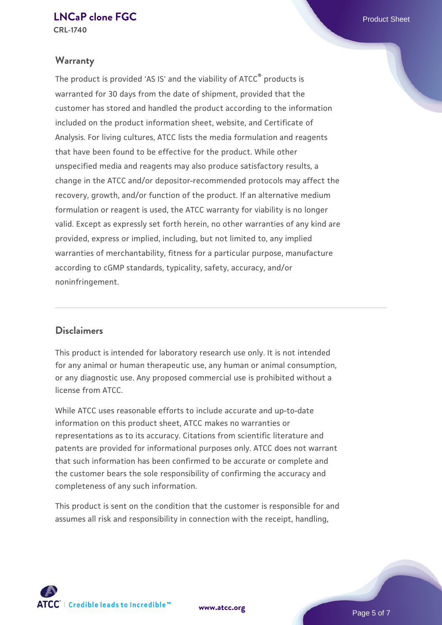**CRL-1740**

#### **Warranty**

The product is provided 'AS IS' and the viability of ATCC® products is warranted for 30 days from the date of shipment, provided that the customer has stored and handled the product according to the information included on the product information sheet, website, and Certificate of Analysis. For living cultures, ATCC lists the media formulation and reagents that have been found to be effective for the product. While other unspecified media and reagents may also produce satisfactory results, a change in the ATCC and/or depositor-recommended protocols may affect the recovery, growth, and/or function of the product. If an alternative medium formulation or reagent is used, the ATCC warranty for viability is no longer valid. Except as expressly set forth herein, no other warranties of any kind are provided, express or implied, including, but not limited to, any implied warranties of merchantability, fitness for a particular purpose, manufacture according to cGMP standards, typicality, safety, accuracy, and/or noninfringement.

#### **Disclaimers**

This product is intended for laboratory research use only. It is not intended for any animal or human therapeutic use, any human or animal consumption, or any diagnostic use. Any proposed commercial use is prohibited without a license from ATCC.

While ATCC uses reasonable efforts to include accurate and up-to-date information on this product sheet, ATCC makes no warranties or representations as to its accuracy. Citations from scientific literature and patents are provided for informational purposes only. ATCC does not warrant that such information has been confirmed to be accurate or complete and the customer bears the sole responsibility of confirming the accuracy and completeness of any such information.

This product is sent on the condition that the customer is responsible for and assumes all risk and responsibility in connection with the receipt, handling,



**[www.atcc.org](http://www.atcc.org)**

Page 5 of 7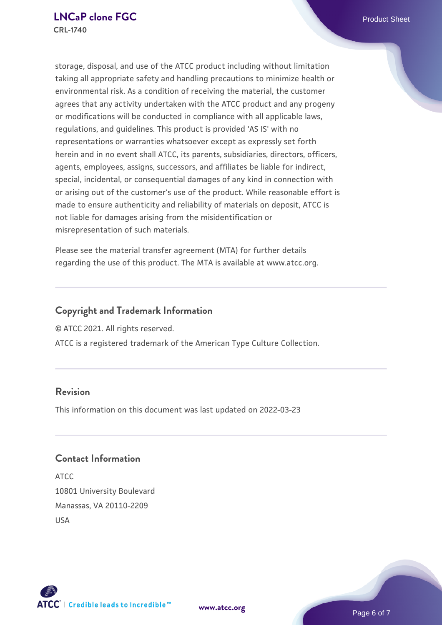storage, disposal, and use of the ATCC product including without limitation taking all appropriate safety and handling precautions to minimize health or environmental risk. As a condition of receiving the material, the customer agrees that any activity undertaken with the ATCC product and any progeny or modifications will be conducted in compliance with all applicable laws, regulations, and guidelines. This product is provided 'AS IS' with no representations or warranties whatsoever except as expressly set forth herein and in no event shall ATCC, its parents, subsidiaries, directors, officers, agents, employees, assigns, successors, and affiliates be liable for indirect, special, incidental, or consequential damages of any kind in connection with or arising out of the customer's use of the product. While reasonable effort is made to ensure authenticity and reliability of materials on deposit, ATCC is not liable for damages arising from the misidentification or misrepresentation of such materials.

Please see the material transfer agreement (MTA) for further details regarding the use of this product. The MTA is available at www.atcc.org.

## **Copyright and Trademark Information**

© ATCC 2021. All rights reserved.

ATCC is a registered trademark of the American Type Culture Collection.

#### **Revision**

This information on this document was last updated on 2022-03-23

## **Contact Information**

ATCC 10801 University Boulevard Manassas, VA 20110-2209 USA